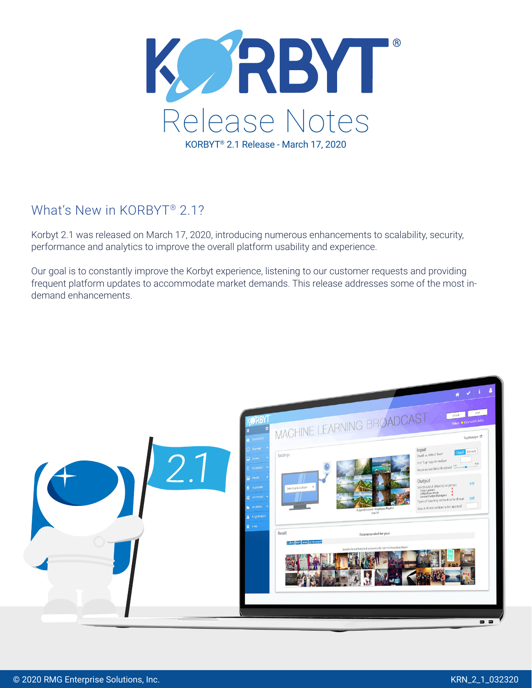

# What's New in KORBYT® 2.1?

Korbyt 2.1 was released on March 17, 2020, introducing numerous enhancements to scalability, security, performance and analytics to improve the overall platform usability and experience.

Our goal is to constantly improve the Korbyt experience, listening to our customer requests and providing frequent platform updates to accommodate market demands. This release addresses some of the most indemand enhancements.

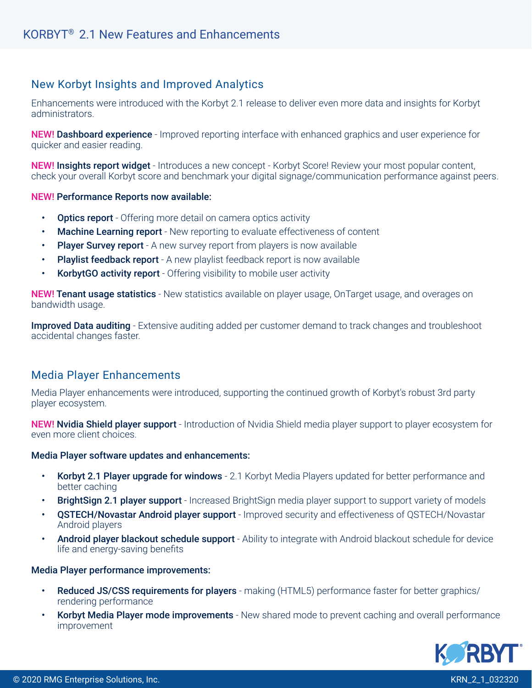# New Korbyt Insights and Improved Analytics

Enhancements were introduced with the Korbyt 2.1 release to deliver even more data and insights for Korbyt administrators.

**NEW! Dashboard experience** - Improved reporting interface with enhanced graphics and user experience for quicker and easier reading.

NEW! Insights report widget - Introduces a new concept - Korbyt Score! Review your most popular content, check your overall Korbyt score and benchmark your digital signage/communication performance against peers.

#### NEW! Performance Reports now available:

- **Optics report** Offering more detail on camera optics activity
- **Machine Learning report** New reporting to evaluate effectiveness of content
- Player Survey report A new survey report from players is now available
- Playlist feedback report A new playlist feedback report is now available
- **KorbytGO activity report** Offering visibility to mobile user activity

**NEW! Tenant usage statistics** - New statistics available on player usage, OnTarget usage, and overages on bandwidth usage.

**Improved Data auditing** - Extensive auditing added per customer demand to track changes and troubleshoot accidental changes faster.

### Media Player Enhancements

Media Player enhancements were introduced, supporting the continued growth of Korbyt's robust 3rd party player ecosystem.

NEW! Nvidia Shield player support - Introduction of Nvidia Shield media player support to player ecosystem for even more client choices.

#### Media Player software updates and enhancements:

- Korbyt 2.1 Player upgrade for windows 2.1 Korbyt Media Players updated for better performance and better caching
- BrightSign 2.1 player support Increased BrightSign media player support to support variety of models
- QSTECH/Novastar Android player support Improved security and effectiveness of QSTECH/Novastar Android players
- Android player blackout schedule support Ability to integrate with Android blackout schedule for device life and energy-saving benefits

#### Media Player performance improvements:

- Reduced JS/CSS requirements for players making (HTML5) performance faster for better graphics/ rendering performance
- Korbyt Media Player mode improvements New shared mode to prevent caching and overall performance improvement

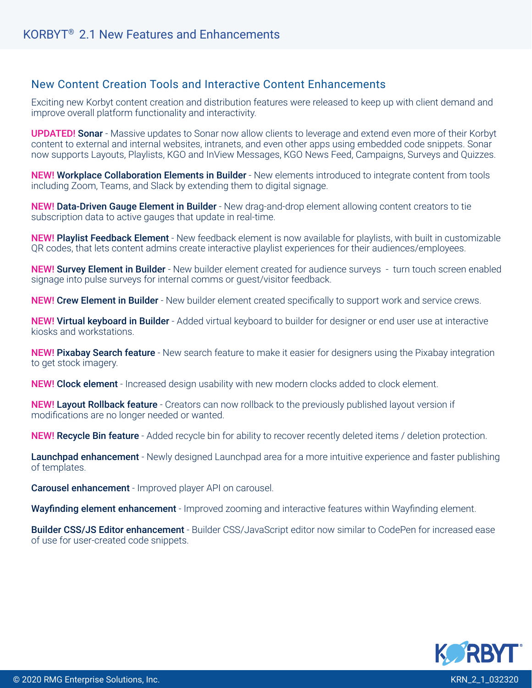# New Content Creation Tools and Interactive Content Enhancements

Exciting new Korbyt content creation and distribution features were released to keep up with client demand and improve overall platform functionality and interactivity.

UPDATED! Sonar - Massive updates to Sonar now allow clients to leverage and extend even more of their Korbyt content to external and internal websites, intranets, and even other apps using embedded code snippets. Sonar now supports Layouts, Playlists, KGO and InView Messages, KGO News Feed, Campaigns, Surveys and Quizzes.

NEW! Workplace Collaboration Elements in Builder - New elements introduced to integrate content from tools including Zoom, Teams, and Slack by extending them to digital signage.

NEW! Data-Driven Gauge Element in Builder - New drag-and-drop element allowing content creators to tie subscription data to active gauges that update in real-time.

NEW! Playlist Feedback Element - New feedback element is now available for playlists, with built in customizable QR codes, that lets content admins create interactive playlist experiences for their audiences/employees.

NEW! Survey Element in Builder - New builder element created for audience surveys - turn touch screen enabled signage into pulse surveys for internal comms or guest/visitor feedback.

**NEW! Crew Element in Builder** - New builder element created specifically to support work and service crews.

NEW! Virtual keyboard in Builder - Added virtual keyboard to builder for designer or end user use at interactive kiosks and workstations.

**NEW! Pixabay Search feature** - New search feature to make it easier for designers using the Pixabay integration to get stock imagery.

NEW! Clock element - Increased design usability with new modern clocks added to clock element.

NEW! Layout Rollback feature - Creators can now rollback to the previously published layout version if modifications are no longer needed or wanted.

NEW! Recycle Bin feature - Added recycle bin for ability to recover recently deleted items / deletion protection.

Launchpad enhancement - Newly designed Launchpad area for a more intuitive experience and faster publishing of templates.

**Carousel enhancement** - Improved player API on carousel.

Wayfinding element enhancement - Improved zooming and interactive features within Wayfinding element.

Builder CSS/JS Editor enhancement - Builder CSS/JavaScript editor now similar to CodePen for increased ease of use for user-created code snippets.